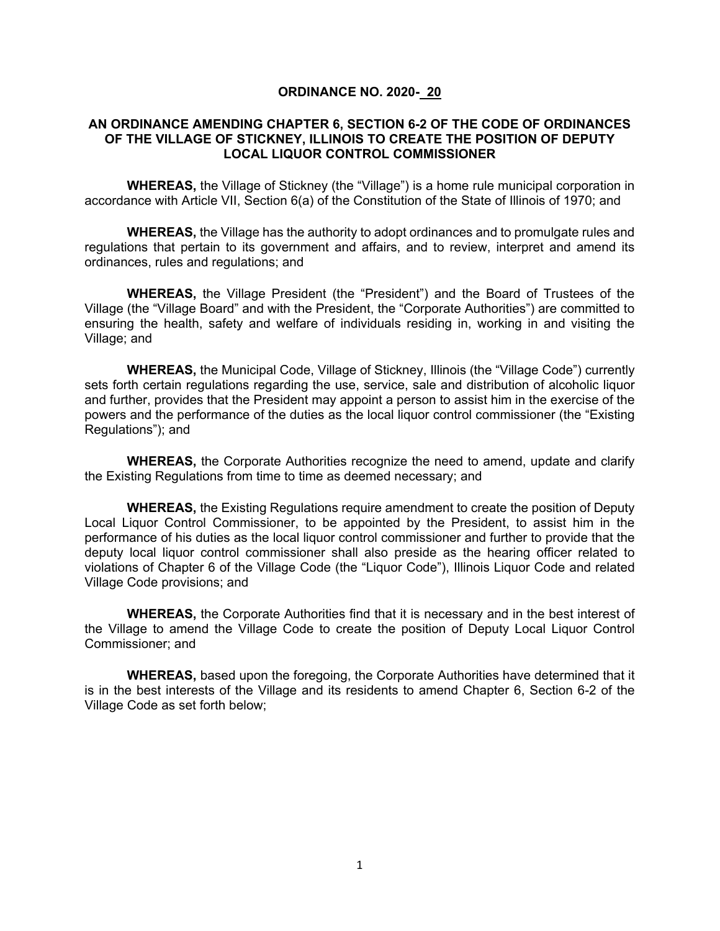#### **ORDINANCE NO. 2020- 20**

#### **AN ORDINANCE AMENDING CHAPTER 6, SECTION 6-2 OF THE CODE OF ORDINANCES OF THE VILLAGE OF STICKNEY, ILLINOIS TO CREATE THE POSITION OF DEPUTY LOCAL LIQUOR CONTROL COMMISSIONER**

**WHEREAS,** the Village of Stickney (the "Village") is a home rule municipal corporation in accordance with Article VII, Section 6(a) of the Constitution of the State of Illinois of 1970; and

**WHEREAS,** the Village has the authority to adopt ordinances and to promulgate rules and regulations that pertain to its government and affairs, and to review, interpret and amend its ordinances, rules and regulations; and

**WHEREAS,** the Village President (the "President") and the Board of Trustees of the Village (the "Village Board" and with the President, the "Corporate Authorities") are committed to ensuring the health, safety and welfare of individuals residing in, working in and visiting the Village; and

**WHEREAS,** the Municipal Code, Village of Stickney, Illinois (the "Village Code") currently sets forth certain regulations regarding the use, service, sale and distribution of alcoholic liquor and further, provides that the President may appoint a person to assist him in the exercise of the powers and the performance of the duties as the local liquor control commissioner (the "Existing Regulations"); and

**WHEREAS,** the Corporate Authorities recognize the need to amend, update and clarify the Existing Regulations from time to time as deemed necessary; and

**WHEREAS,** the Existing Regulations require amendment to create the position of Deputy Local Liquor Control Commissioner, to be appointed by the President, to assist him in the performance of his duties as the local liquor control commissioner and further to provide that the deputy local liquor control commissioner shall also preside as the hearing officer related to violations of Chapter 6 of the Village Code (the "Liquor Code"), Illinois Liquor Code and related Village Code provisions; and

**WHEREAS,** the Corporate Authorities find that it is necessary and in the best interest of the Village to amend the Village Code to create the position of Deputy Local Liquor Control Commissioner; and

**WHEREAS,** based upon the foregoing, the Corporate Authorities have determined that it is in the best interests of the Village and its residents to amend Chapter 6, Section 6-2 of the Village Code as set forth below;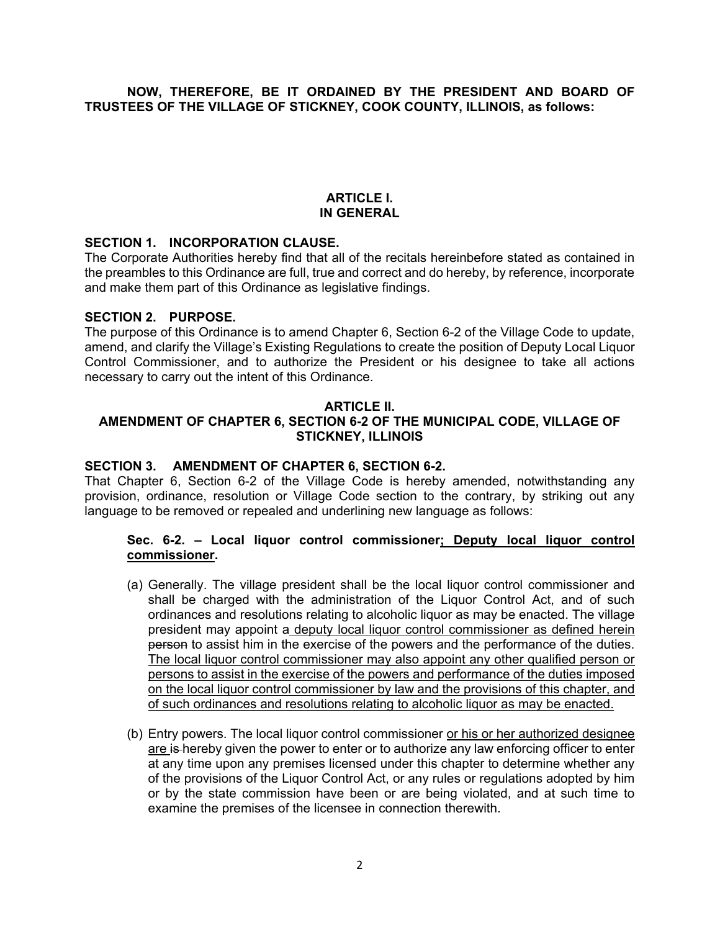### **NOW, THEREFORE, BE IT ORDAINED BY THE PRESIDENT AND BOARD OF TRUSTEES OF THE VILLAGE OF STICKNEY, COOK COUNTY, ILLINOIS, as follows:**

# **ARTICLE I. IN GENERAL**

#### **SECTION 1. INCORPORATION CLAUSE.**

The Corporate Authorities hereby find that all of the recitals hereinbefore stated as contained in the preambles to this Ordinance are full, true and correct and do hereby, by reference, incorporate and make them part of this Ordinance as legislative findings.

#### **SECTION 2. PURPOSE.**

The purpose of this Ordinance is to amend Chapter 6, Section 6-2 of the Village Code to update, amend, and clarify the Village's Existing Regulations to create the position of Deputy Local Liquor Control Commissioner, and to authorize the President or his designee to take all actions necessary to carry out the intent of this Ordinance.

#### **ARTICLE II.**

# **AMENDMENT OF CHAPTER 6, SECTION 6-2 OF THE MUNICIPAL CODE, VILLAGE OF STICKNEY, ILLINOIS**

#### **SECTION 3. AMENDMENT OF CHAPTER 6, SECTION 6-2.**

That Chapter 6, Section 6-2 of the Village Code is hereby amended, notwithstanding any provision, ordinance, resolution or Village Code section to the contrary, by striking out any language to be removed or repealed and underlining new language as follows:

#### **Sec. 6-2. – Local liquor control commissioner; Deputy local liquor control commissioner.**

- (a) Generally. The village president shall be the local liquor control commissioner and shall be charged with the administration of the Liquor Control Act, and of such ordinances and resolutions relating to alcoholic liquor as may be enacted. The village president may appoint a deputy local liquor control commissioner as defined herein person to assist him in the exercise of the powers and the performance of the duties. The local liquor control commissioner may also appoint any other qualified person or persons to assist in the exercise of the powers and performance of the duties imposed on the local liquor control commissioner by law and the provisions of this chapter, and of such ordinances and resolutions relating to alcoholic liquor as may be enacted.
- (b) Entry powers. The local liquor control commissioner or his or her authorized designee are is hereby given the power to enter or to authorize any law enforcing officer to enter at any time upon any premises licensed under this chapter to determine whether any of the provisions of the Liquor Control Act, or any rules or regulations adopted by him or by the state commission have been or are being violated, and at such time to examine the premises of the licensee in connection therewith.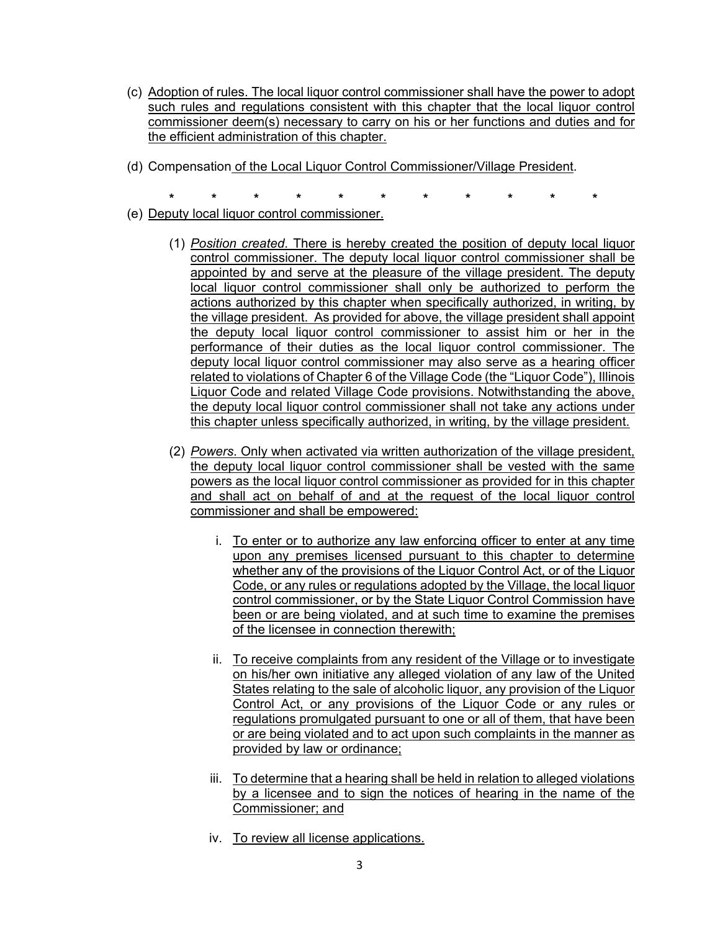- (c) Adoption of rules. The local liquor control commissioner shall have the power to adopt such rules and regulations consistent with this chapter that the local liquor control commissioner deem(s) necessary to carry on his or her functions and duties and for the efficient administration of this chapter.
- (d) Compensation of the Local Liquor Control Commissioner/Village President.
	- **\* \* \* \* \* \* \* \* \* \* \***
- (e) Deputy local liquor control commissioner.
	- (1) *Position created*. There is hereby created the position of deputy local liquor control commissioner. The deputy local liquor control commissioner shall be appointed by and serve at the pleasure of the village president. The deputy local liquor control commissioner shall only be authorized to perform the actions authorized by this chapter when specifically authorized, in writing, by the village president. As provided for above, the village president shall appoint the deputy local liquor control commissioner to assist him or her in the performance of their duties as the local liquor control commissioner. The deputy local liquor control commissioner may also serve as a hearing officer related to violations of Chapter 6 of the Village Code (the "Liquor Code"), Illinois Liquor Code and related Village Code provisions. Notwithstanding the above, the deputy local liquor control commissioner shall not take any actions under this chapter unless specifically authorized, in writing, by the village president.
	- (2) *Powers*. Only when activated via written authorization of the village president, the deputy local liquor control commissioner shall be vested with the same powers as the local liquor control commissioner as provided for in this chapter and shall act on behalf of and at the request of the local liquor control commissioner and shall be empowered:
		- i. To enter or to authorize any law enforcing officer to enter at any time upon any premises licensed pursuant to this chapter to determine whether any of the provisions of the Liquor Control Act, or of the Liquor Code, or any rules or regulations adopted by the Village, the local liquor control commissioner, or by the State Liquor Control Commission have been or are being violated, and at such time to examine the premises of the licensee in connection therewith:
		- ii. To receive complaints from any resident of the Village or to investigate on his/her own initiative any alleged violation of any law of the United States relating to the sale of alcoholic liquor, any provision of the Liquor Control Act, or any provisions of the Liquor Code or any rules or regulations promulgated pursuant to one or all of them, that have been or are being violated and to act upon such complaints in the manner as provided by law or ordinance;
		- iii. To determine that a hearing shall be held in relation to alleged violations by a licensee and to sign the notices of hearing in the name of the Commissioner; and
		- iv. To review all license applications.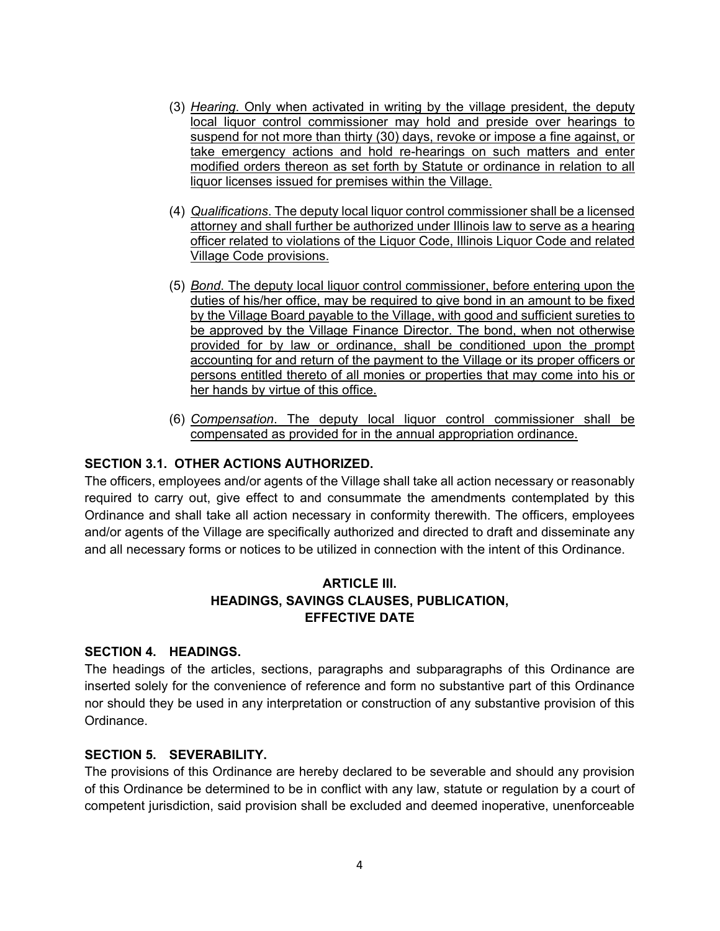- (3) *Hearing*. Only when activated in writing by the village president, the deputy local liquor control commissioner may hold and preside over hearings to suspend for not more than thirty (30) days, revoke or impose a fine against, or take emergency actions and hold re-hearings on such matters and enter modified orders thereon as set forth by Statute or ordinance in relation to all liquor licenses issued for premises within the Village.
- (4) *Qualifications*. The deputy local liquor control commissioner shall be a licensed attorney and shall further be authorized under Illinois law to serve as a hearing officer related to violations of the Liquor Code, Illinois Liquor Code and related Village Code provisions.
- (5) *Bond*. The deputy local liquor control commissioner, before entering upon the duties of his/her office, may be required to give bond in an amount to be fixed by the Village Board payable to the Village, with good and sufficient sureties to be approved by the Village Finance Director. The bond, when not otherwise provided for by law or ordinance, shall be conditioned upon the prompt accounting for and return of the payment to the Village or its proper officers or persons entitled thereto of all monies or properties that may come into his or her hands by virtue of this office.
- (6) *Compensation*. The deputy local liquor control commissioner shall be compensated as provided for in the annual appropriation ordinance.

# **SECTION 3.1. OTHER ACTIONS AUTHORIZED.**

The officers, employees and/or agents of the Village shall take all action necessary or reasonably required to carry out, give effect to and consummate the amendments contemplated by this Ordinance and shall take all action necessary in conformity therewith. The officers, employees and/or agents of the Village are specifically authorized and directed to draft and disseminate any and all necessary forms or notices to be utilized in connection with the intent of this Ordinance.

# **ARTICLE III. HEADINGS, SAVINGS CLAUSES, PUBLICATION, EFFECTIVE DATE**

# **SECTION 4. HEADINGS.**

The headings of the articles, sections, paragraphs and subparagraphs of this Ordinance are inserted solely for the convenience of reference and form no substantive part of this Ordinance nor should they be used in any interpretation or construction of any substantive provision of this Ordinance.

# **SECTION 5. SEVERABILITY.**

The provisions of this Ordinance are hereby declared to be severable and should any provision of this Ordinance be determined to be in conflict with any law, statute or regulation by a court of competent jurisdiction, said provision shall be excluded and deemed inoperative, unenforceable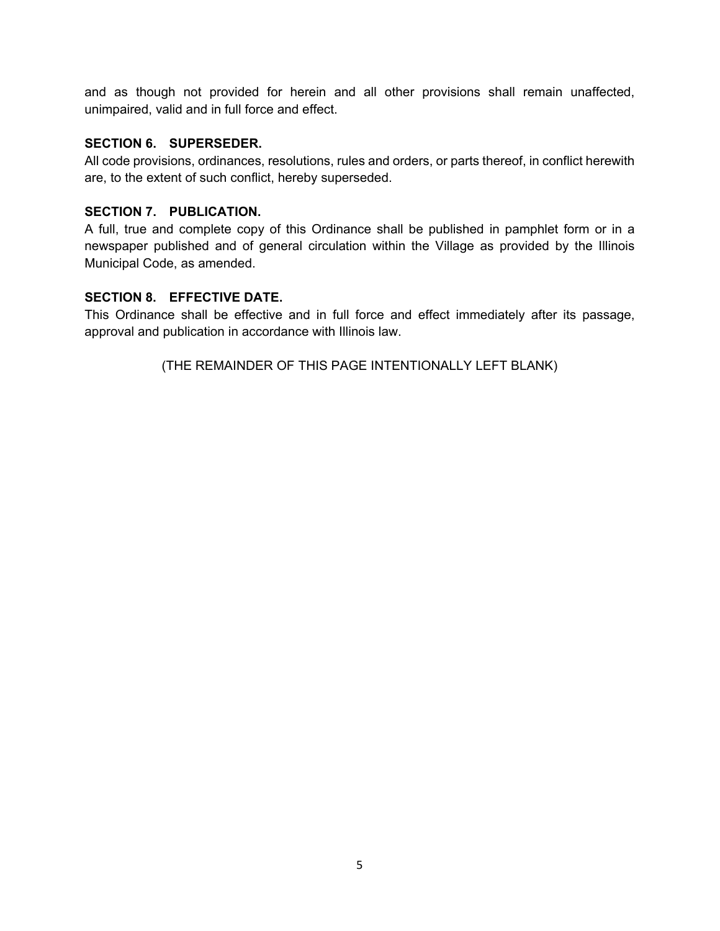and as though not provided for herein and all other provisions shall remain unaffected, unimpaired, valid and in full force and effect.

# **SECTION 6. SUPERSEDER.**

All code provisions, ordinances, resolutions, rules and orders, or parts thereof, in conflict herewith are, to the extent of such conflict, hereby superseded.

# **SECTION 7. PUBLICATION.**

A full, true and complete copy of this Ordinance shall be published in pamphlet form or in a newspaper published and of general circulation within the Village as provided by the Illinois Municipal Code, as amended.

# **SECTION 8. EFFECTIVE DATE.**

This Ordinance shall be effective and in full force and effect immediately after its passage, approval and publication in accordance with Illinois law.

(THE REMAINDER OF THIS PAGE INTENTIONALLY LEFT BLANK)